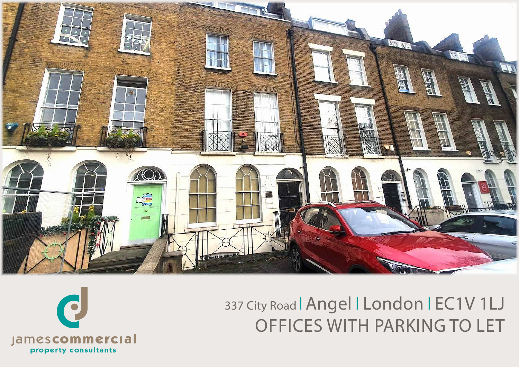

# 337 City Road | Angel | London | EC1V 1LJ OFFICES WITH PARKING TO LET